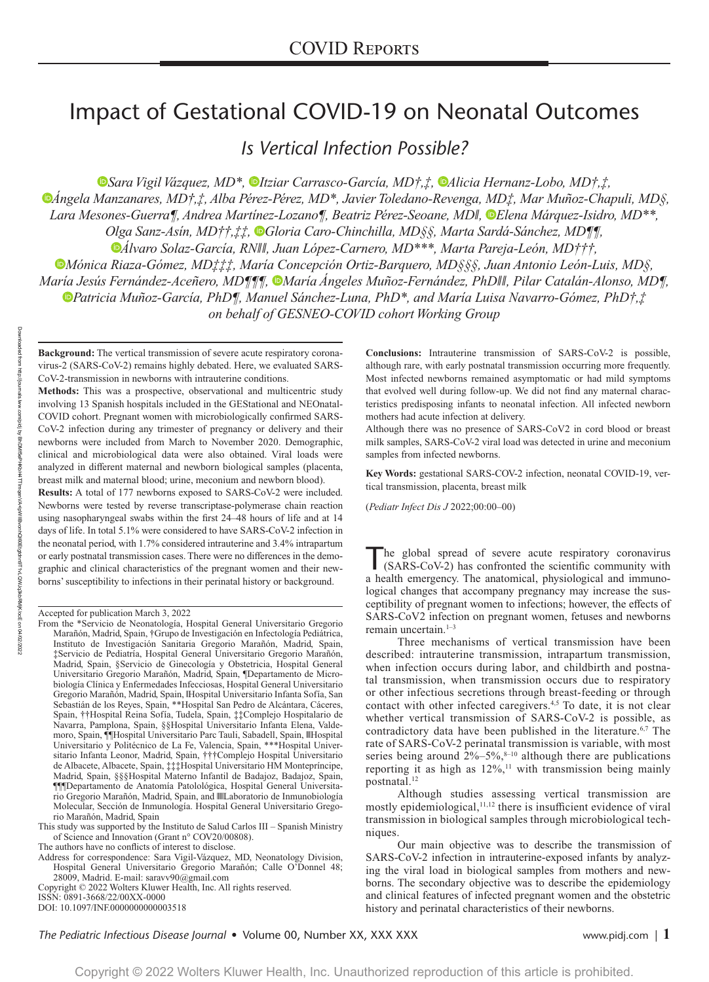# Impact of Gestational COVID-19 on Neonatal Outcomes

*Is Vertical Infection Possible?*

*[S](https://orcid.org/0000-0002-5220-8087)ara Vigil Vázquez, MD\*,Itziar Carrasco-García, MD†,‡, [A](https://orcid.org/0000-0002-9560-9104)licia Hernanz-Lobo, MD†,‡, [Á](https://orcid.org/0000-0002-4230-5035)ngela Manzanares, MD†,‡, Alba Pérez-Pérez, MD\*, Javier Toledano-Revenga, MD‡, Mar Muñoz-Chapuli, MD§, Lara Mesones-Guerra¶, Andrea Martínez-Lozano¶, Beatriz Pérez-Seoane, MD‖, [E](https://orcid.org/0000-0003-3514-4509)lena Márquez-Isidro, MD\*\*, Olga Sanz-Asín, MD††,‡‡,Gloria Caro-Chinchilla, MD§§, Marta Sardá-Sánchez, MD¶¶, [Á](https://orcid.org/0000-0001-6713-8408)lvaro Solaz-García, RN‖‖, Juan López-Carnero, MD\*\*\*, Marta Pareja-León, MD†††, Mónica Riaza-Gómez, MD‡‡‡, María Concepción Ortiz-Barquero, MD§§§, Juan Antonio León-Luis, MD§, María Jesús Fernández-Aceñero, MD¶¶¶, [M](https://orcid.org/0000-0002-0813-4500)aría Ángeles Muñoz-Fernández, PhD‖‖, Pilar Catalán-Alonso, MD¶, Patricia Muñoz-García, PhD¶, Manuel Sánchez-Luna, PhD\*, and María Luisa Navarro-Gómez, PhD†,‡ on behalf of GESNEO-COVID cohort Working Group* 

**Background:** The vertical transmission of severe acute respiratory coronavirus-2 (SARS-CoV-2) remains highly debated. Here, we evaluated SARS-CoV-2-transmission in newborns with intrauterine conditions.

**Methods:** This was a prospective, observational and multicentric study involving 13 Spanish hospitals included in the GEStational and NEOnatal-COVID cohort. Pregnant women with microbiologically confirmed SARS-CoV-2 infection during any trimester of pregnancy or delivery and their newborns were included from March to November 2020. Demographic, clinical and microbiological data were also obtained. Viral loads were analyzed in different maternal and newborn biological samples (placenta, breast milk and maternal blood; urine, meconium and newborn blood).

**Results:** A total of 177 newborns exposed to SARS-CoV-2 were included. Newborns were tested by reverse transcriptase-polymerase chain reaction using nasopharyngeal swabs within the first 24–48 hours of life and at 14 days of life. In total 5.1% were considered to have SARS-CoV-2 infection in the neonatal period, with 1.7% considered intrauterine and 3.4% intrapartum or early postnatal transmission cases. There were no differences in the demographic and clinical characteristics of the pregnant women and their newborns' susceptibility to infections in their perinatal history or background.

04/02/2022

Downloaded from

Accepted for publication March 3, 2022

- From the \*Servicio de Neonatología, Hospital General Universitario Gregorio Marañón, Madrid, Spain, †Grupo de Investigación en Infectología Pediátrica, Instituto de Investigación Sanitaria Gregorio Marañón, Madrid, Spain, ‡Servicio de Pediatría, Hospital General Universitario Gregorio Marañón, Madrid, Spain, §Servicio de Ginecología y Obstetricia, Hospital General Universitario Gregorio Marañón, Madrid, Spain, ¶Departamento de Microbiología Clínica y Enfermedades Infecciosas, Hospital General Universitario Gregorio Marañón, Madrid, Spain, ‖Hospital Universitario Infanta Sofía, San Sebastián de los Reyes, Spain, \*\*Hospital San Pedro de Alcántara, Cáceres, Spain, ††Hospital Reina Sofía, Tudela, Spain, ‡‡Complejo Hospitalario de Navarra, Pamplona, Spain, §§Hospital Universitario Infanta Elena, Valdemoro, Spain, ¶¶Hospital Universitario Parc Tauli, Sabadell, Spain, ‖‖Hospital Universitario y Politécnico de La Fe, Valencia, Spain, \*\*\*Hospital Universitario Infanta Leonor, Madrid, Spain, †††Complejo Hospital Universitario de Albacete, Albacete, Spain, ‡‡‡Hospital Universitario HM Montepríncipe, Madrid, Spain, §§§Hospital Materno Infantil de Badajoz, Badajoz, Spain, ¶¶¶Departamento de Anatomía Patolológica, Hospital General Universitario Gregorio Marañón, Madrid, Spain, and ‖‖‖Laboratorio de Inmunobiología Molecular, Sección de Inmunología. Hospital General Universitario Gregorio Marañón, Madrid, Spain
- This study was supported by the Instituto de Salud Carlos III Spanish Ministry of Science and Innovation (Grant n° COV20/00808).

The authors have no conflicts of interest to disclose.

Address for correspondence: Sara Vigil-Vázquez, MD, Neonatology Division, Hospital General Universitario Gregorio Marañón; Calle O'Donnel 48; 28009, Madrid. E-mail: [saravv90@gmail.com](mailto:saravv90@gmail.com)

Copyright © 2022 Wolters Kluwer Health, Inc. All rights reserved.

ISSN: 0891-3668/22/00XX-0000

DOI: 10.1097/INF.0000000000003518

**Conclusions:** Intrauterine transmission of SARS-CoV-2 is possible, although rare, with early postnatal transmission occurring more frequently. Most infected newborns remained asymptomatic or had mild symptoms that evolved well during follow-up. We did not find any maternal characteristics predisposing infants to neonatal infection. All infected newborn mothers had acute infection at delivery.

Although there was no presence of SARS-CoV2 in cord blood or breast milk samples, SARS-CoV-2 viral load was detected in urine and meconium samples from infected newborns.

**Key Words:** gestational SARS-COV-2 infection, neonatal COVID-19, vertical transmission, placenta, breast milk

(*Pediatr Infect Dis J* 2022;00:00–00)

The global spread of severe acute respiratory coronavirus (SARS-CoV-2) has confronted the scientific community with a health emergency. The anatomical, physiological and immunological changes that accompany pregnancy may increase the susceptibility of pregnant women to infections; however, the effects of SARS-CoV2 infection on pregnant women, fetuses and newborns remain uncertain. $1-3$ 

Three mechanisms of vertical transmission have been described: intrauterine transmission, intrapartum transmission, when infection occurs during labor, and childbirth and postnatal transmission, when transmission occurs due to respiratory or other infectious secretions through breast-feeding or through contact with other infected caregivers.<sup>4,5</sup> To date, it is not clear whether vertical transmission of SARS-CoV-2 is possible, as contradictory data have been published in the literature.<sup>6,7</sup> The rate of SARS-CoV-2 perinatal transmission is variable, with most series being around  $2\% - 5\%,$ <sup>8-10</sup> although there are publications reporting it as high as  $12\%,$ <sup>11</sup> with transmission being mainly postnatal.<sup>12</sup>

Although studies assessing vertical transmission are mostly epidemiological,<sup>11,12</sup> there is insufficient evidence of viral transmission in biological samples through microbiological techniques.

Our main objective was to describe the transmission of SARS-CoV-2 infection in intrauterine-exposed infants by analyzing the viral load in biological samples from mothers and newborns. The secondary objective was to describe the epidemiology and clinical features of infected pregnant women and the obstetric history and perinatal characteristics of their newborns.

*The Pediatric Infectious Disease Journal* • Volume 00, Number XX, XXX XXX www.pidj.com *|* **1**

reunol/cdnu http://journals.lww.com/pidj om/pidj by BhDMf5ePHKbH4TTImqenV/ BhDMf5ePHKbH4TTImqenVA+lpWIIBvonhQl60Etgtdnn9T1vLQWJq3kbRMjK/ocE -lpWilBvonhQl60Etgtdnn9T1vLQWJq3kbRMjjK/ocE on 04/02/202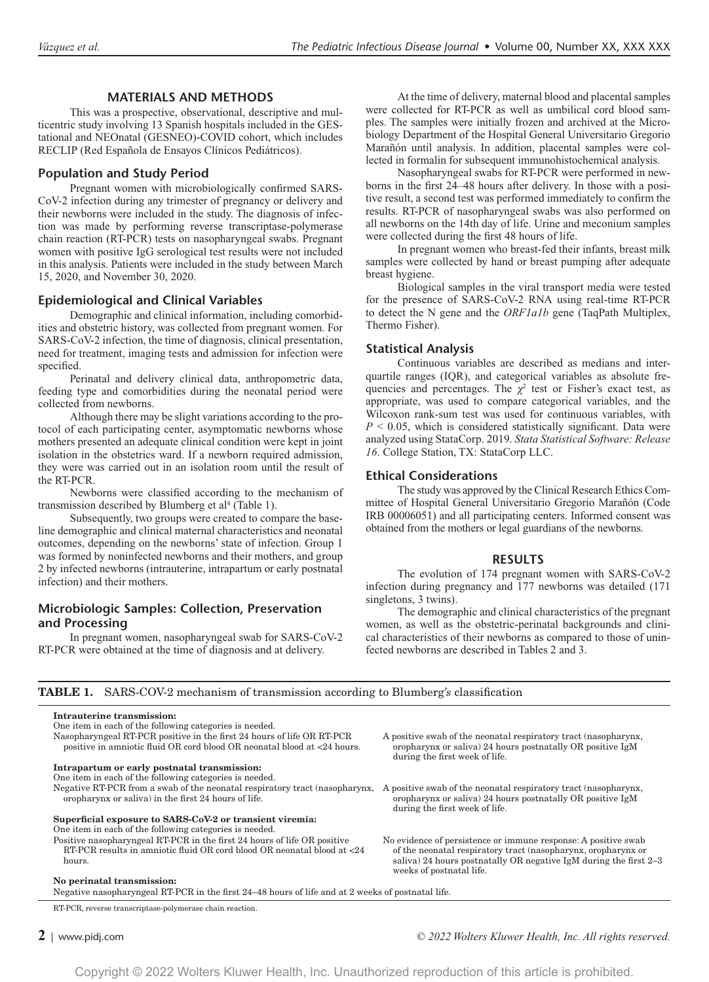# **MATERIALS AND METHODS**

This was a prospective, observational, descriptive and multicentric study involving 13 Spanish hospitals included in the GEStational and NEOnatal (GESNEO)-COVID cohort, which includes RECLIP (Red Española de Ensayos Clínicos Pediátricos).

#### **Population and Study Period**

Pregnant women with microbiologically confirmed SARS-CoV-2 infection during any trimester of pregnancy or delivery and their newborns were included in the study. The diagnosis of infection was made by performing reverse transcriptase-polymerase chain reaction (RT-PCR) tests on nasopharyngeal swabs. Pregnant women with positive IgG serological test results were not included in this analysis. Patients were included in the study between March 15, 2020, and November 30, 2020.

# **Epidemiological and Clinical Variables**

Demographic and clinical information, including comorbidities and obstetric history, was collected from pregnant women. For SARS-CoV-2 infection, the time of diagnosis, clinical presentation, need for treatment, imaging tests and admission for infection were specified.

Perinatal and delivery clinical data, anthropometric data, feeding type and comorbidities during the neonatal period were collected from newborns.

Although there may be slight variations according to the protocol of each participating center, asymptomatic newborns whose mothers presented an adequate clinical condition were kept in joint isolation in the obstetrics ward. If a newborn required admission, they were was carried out in an isolation room until the result of the RT-PCR.

Newborns were classified according to the mechanism of transmission described by Blumberg et al<sup>4</sup> (Table 1).

Subsequently, two groups were created to compare the baseline demographic and clinical maternal characteristics and neonatal outcomes, depending on the newborns' state of infection. Group 1 was formed by noninfected newborns and their mothers, and group 2 by infected newborns (intrauterine, intrapartum or early postnatal infection) and their mothers.

# **Microbiologic Samples: Collection, Preservation and Processing**

In pregnant women, nasopharyngeal swab for SARS-CoV-2 RT-PCR were obtained at the time of diagnosis and at delivery.

At the time of delivery, maternal blood and placental samples were collected for RT-PCR as well as umbilical cord blood samples. The samples were initially frozen and archived at the Microbiology Department of the Hospital General Universitario Gregorio Marañón until analysis. In addition, placental samples were collected in formalin for subsequent immunohistochemical analysis.

Nasopharyngeal swabs for RT-PCR were performed in newborns in the first 24–48 hours after delivery. In those with a positive result, a second test was performed immediately to confirm the results. RT-PCR of nasopharyngeal swabs was also performed on all newborns on the 14th day of life. Urine and meconium samples were collected during the first 48 hours of life.

In pregnant women who breast-fed their infants, breast milk samples were collected by hand or breast pumping after adequate breast hygiene.

Biological samples in the viral transport media were tested for the presence of SARS-CoV-2 RNA using real-time RT-PCR to detect the N gene and the *ORF1a1b* gene (TaqPath Multiplex, Thermo Fisher).

# **Statistical Analysis**

Continuous variables are described as medians and interquartile ranges (IQR), and categorical variables as absolute frequencies and percentages. The  $\chi^2$  test or Fisher's exact test, as appropriate, was used to compare categorical variables, and the Wilcoxon rank-sum test was used for continuous variables, with  $P < 0.05$ , which is considered statistically significant. Data were analyzed using StataCorp. 2019. *Stata Statistical Software: Release 16*. College Station, TX: StataCorp LLC.

# **Ethical Considerations**

The study was approved by the Clinical Research Ethics Committee of Hospital General Universitario Gregorio Marañón (Code IRB 00006051) and all participating centers. Informed consent was obtained from the mothers or legal guardians of the newborns.

#### **RESULTS**

The evolution of 174 pregnant women with SARS-CoV-2 infection during pregnancy and 177 newborns was detailed (171 singletons, 3 twins).

The demographic and clinical characteristics of the pregnant women, as well as the obstetric-perinatal backgrounds and clinical characteristics of their newborns as compared to those of uninfected newborns are described in Tables 2 and 3.

| <b>TABLE 1.</b> SARS-COV-2 mechanism of transmission according to Blumberg's classification |
|---------------------------------------------------------------------------------------------|
|---------------------------------------------------------------------------------------------|

|  | Intrauterine transmission: |  |  |  |
|--|----------------------------|--|--|--|
|  |                            |  |  |  |

| One item in each of the following categories is needed.                  |
|--------------------------------------------------------------------------|
| Nasopharyngeal RT-PCR positive in the first 24 hours of life OR RT-PCR   |
| positive in amniotic fluid OR cord blood OR neonatal blood at <24 hours. |
|                                                                          |

**Intrapartum or early postnatal transmission:**

One item in each of the following categories is needed.

oropharynx or saliva) in the first 24 hours of life.

# **Superficial exposure to SARS-CoV-2 or transient viremia:**

One item in each of the following categories is needed. Positive nasopharyngeal RT-PCR in the first 24 hours of life OR positive RT-PCR results in amniotic fluid OR cord blood OR neonatal blood at <24 hours.

#### **No perinatal transmission:**

Negative nasopharyngeal RT-PCR in the first 24–48 hours of life and at 2 weeks of postnatal life.

RT-PCR, reverse transcriptase-polymerase chain reaction.

A positive swab of the neonatal respiratory tract (nasopharynx, oropharynx or saliva) 24 hours postnatally OR positive IgM during the first week of life.

Negative RT-PCR from a swab of the neonatal respiratory tract (nasopharynx, A positive swab of the neonatal respiratory tract (nasopharynx, oropharynx or saliva) 24 hours postnatally OR positive IgM during the first week of life.

> No evidence of persistence or immune response: A positive swab of the neonatal respiratory tract (nasopharynx, oropharynx or saliva) 24 hours postnatally OR negative IgM during the first 2–3 weeks of postnatal life.

**2** <sup>|</sup> www.pidj.com *© 2022 Wolters Kluwer Health, Inc. All rights reserved.*

Copyright © 2022 Wolters Kluwer Health, Inc. Unauthorized reproduction of this article is prohibited.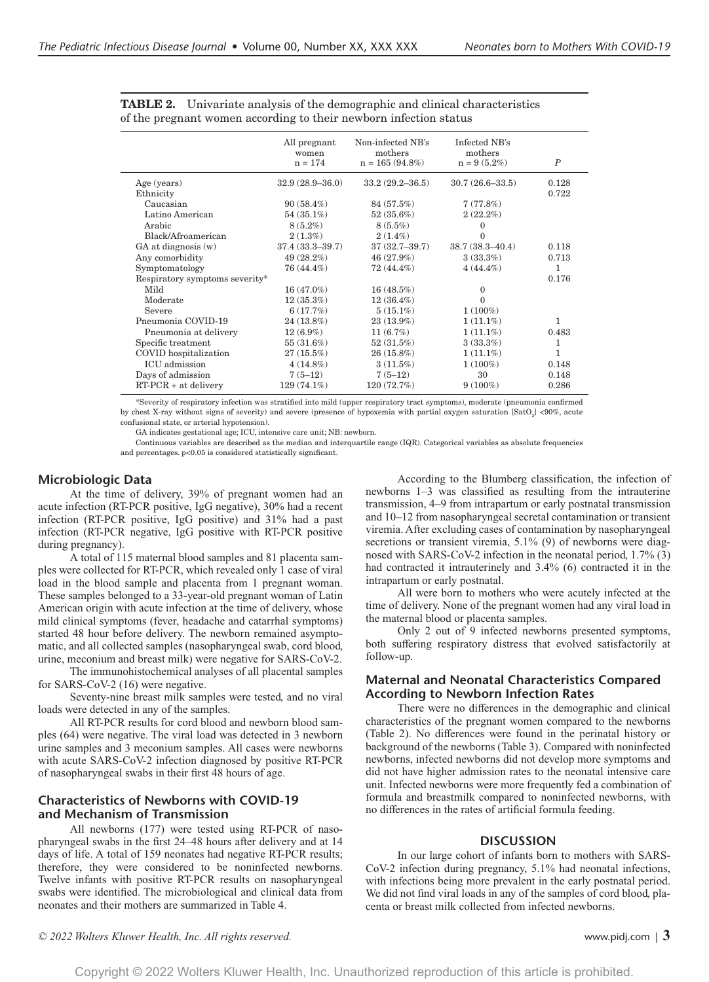|                                | All pregnant<br>women<br>$n = 174$ | Non-infected NB's<br>mothers<br>$n = 165 (94.8\%)$ | Infected NB's<br>mothers<br>$n = 9(5.2\%)$ | $\boldsymbol{P}$ |
|--------------------------------|------------------------------------|----------------------------------------------------|--------------------------------------------|------------------|
| Age (years)                    | $32.9(28.9 - 36.0)$                | $33.2(29.2 - 36.5)$                                | $30.7(26.6 - 33.5)$                        | 0.128            |
| Ethnicity                      |                                    |                                                    |                                            | 0.722            |
| Caucasian                      | $90(58.4\%)$                       | 84 (57.5%)                                         | 7(77.8%)                                   |                  |
| Latino American                | $54(35.1\%)$                       | $52(35.6\%)$                                       | $2(22.2\%)$                                |                  |
| Arabic                         | $8(5.2\%)$                         | $8(5.5\%)$                                         | 0                                          |                  |
| Black/Afroamerican             | $2(1.3\%)$                         | $2(1.4\%)$                                         | $\theta$                                   |                  |
| GA at diagnosis (w)            | $37.4(33.3 - 39.7)$                | $37(32.7 - 39.7)$                                  | $38.7(38.3 - 40.4)$                        | 0.118            |
| Any comorbidity                | 49 (28.2%)                         | 46 (27.9%)                                         | 3(33.3%)                                   | 0.713            |
| Symptomatology                 | 76 (44.4%)                         | 72 (44.4%)                                         | $4(44.4\%)$                                | 1                |
| Respiratory symptoms severity* |                                    |                                                    |                                            | 0.176            |
| Mild                           | 16 (47.0%)                         | 16(48.5%)                                          | $\mathbf{0}$                               |                  |
| Moderate                       | $12(35.3\%)$                       | $12(36.4\%)$                                       | $\Omega$                                   |                  |
| Severe                         | 6(17.7%)                           | $5(15.1\%)$                                        | $1(100\%)$                                 |                  |
| Pneumonia COVID-19             | $24(13.8\%)$                       | $23(13.9\%)$                                       | $1(11.1\%)$                                | 1                |
| Pneumonia at delivery          | $12(6.9\%)$                        | 11(6.7%)                                           | $1(11.1\%)$                                | 0.483            |
| Specific treatment             | 55(31.6%)                          | 52(31.5%)                                          | 3(33.3%)                                   | 1                |
| COVID hospitalization          | $27(15.5\%)$                       | $26(15.8\%)$                                       | $1(11.1\%)$                                | 1                |
| ICU admission                  | $4(14.8\%)$                        | 3(11.5%)                                           | $1(100\%)$                                 | 0.148            |
| Days of admission              | $7(5-12)$                          | $7(5-12)$                                          | 30                                         | 0.148            |
| $RT-PCR + at$ delivery         | $129(74.1\%)$                      | 120 (72.7%)                                        | $9(100\%)$                                 | 0.286            |

**TABLE 2.** Univariate analysis of the demographic and clinical characteristics of the pregnant women according to their newborn infection status

\*Severity of respiratory infection was stratified into mild (upper respiratory tract symptoms), moderate (pneumonia confirmed by chest X-ray without signs of severity) and severe (presence of hypoxemia with partial oxygen saturation  $[{\rm SatO}_2] < 90\%$ , acute confusional state, or arterial hypotension).

GA indicates gestational age; ICU, intensive care unit; NB: newborn.

Continuous variables are described as the median and interquartile range (IQR). Categorical variables as absolute frequencies and percentages. p<0.05 is considered statistically significant.

# **Microbiologic Data**

At the time of delivery, 39% of pregnant women had an acute infection (RT-PCR positive, IgG negative), 30% had a recent infection (RT-PCR positive, IgG positive) and 31% had a past infection (RT-PCR negative, IgG positive with RT-PCR positive during pregnancy).

A total of 115 maternal blood samples and 81 placenta samples were collected for RT-PCR, which revealed only 1 case of viral load in the blood sample and placenta from 1 pregnant woman. These samples belonged to a 33-year-old pregnant woman of Latin American origin with acute infection at the time of delivery, whose mild clinical symptoms (fever, headache and catarrhal symptoms) started 48 hour before delivery. The newborn remained asymptomatic, and all collected samples (nasopharyngeal swab, cord blood, urine, meconium and breast milk) were negative for SARS-CoV-2.

The immunohistochemical analyses of all placental samples for SARS-CoV-2 (16) were negative.

Seventy-nine breast milk samples were tested, and no viral loads were detected in any of the samples.

All RT-PCR results for cord blood and newborn blood samples (64) were negative. The viral load was detected in 3 newborn urine samples and 3 meconium samples. All cases were newborns with acute SARS-CoV-2 infection diagnosed by positive RT-PCR of nasopharyngeal swabs in their first 48 hours of age.

# **Characteristics of Newborns with COVID-19 and Mechanism of Transmission**

All newborns (177) were tested using RT-PCR of nasopharyngeal swabs in the first 24–48 hours after delivery and at 14 days of life. A total of 159 neonates had negative RT-PCR results; therefore, they were considered to be noninfected newborns. Twelve infants with positive RT-PCR results on nasopharyngeal swabs were identified. The microbiological and clinical data from neonates and their mothers are summarized in Table 4.

According to the Blumberg classification, the infection of newborns 1–3 was classified as resulting from the intrauterine transmission, 4–9 from intrapartum or early postnatal transmission and 10–12 from nasopharyngeal secretal contamination or transient viremia. After excluding cases of contamination by nasopharyngeal secretions or transient viremia, 5.1% (9) of newborns were diagnosed with SARS-CoV-2 infection in the neonatal period, 1.7% (3) had contracted it intrauterinely and 3.4% (6) contracted it in the intrapartum or early postnatal.

All were born to mothers who were acutely infected at the time of delivery. None of the pregnant women had any viral load in the maternal blood or placenta samples.

Only 2 out of 9 infected newborns presented symptoms, both suffering respiratory distress that evolved satisfactorily at follow-up.

# **Maternal and Neonatal Characteristics Compared According to Newborn Infection Rates**

There were no differences in the demographic and clinical characteristics of the pregnant women compared to the newborns (Table 2). No differences were found in the perinatal history or background of the newborns (Table 3). Compared with noninfected newborns, infected newborns did not develop more symptoms and did not have higher admission rates to the neonatal intensive care unit. Infected newborns were more frequently fed a combination of formula and breastmilk compared to noninfected newborns, with no differences in the rates of artificial formula feeding.

#### **DISCUSSION**

In our large cohort of infants born to mothers with SARS-CoV-2 infection during pregnancy, 5.1% had neonatal infections, with infections being more prevalent in the early postnatal period. We did not find viral loads in any of the samples of cord blood, placenta or breast milk collected from infected newborns.

*© 2022 Wolters Kluwer Health, Inc. All rights reserved.* www.pidj.com <sup>|</sup> **3**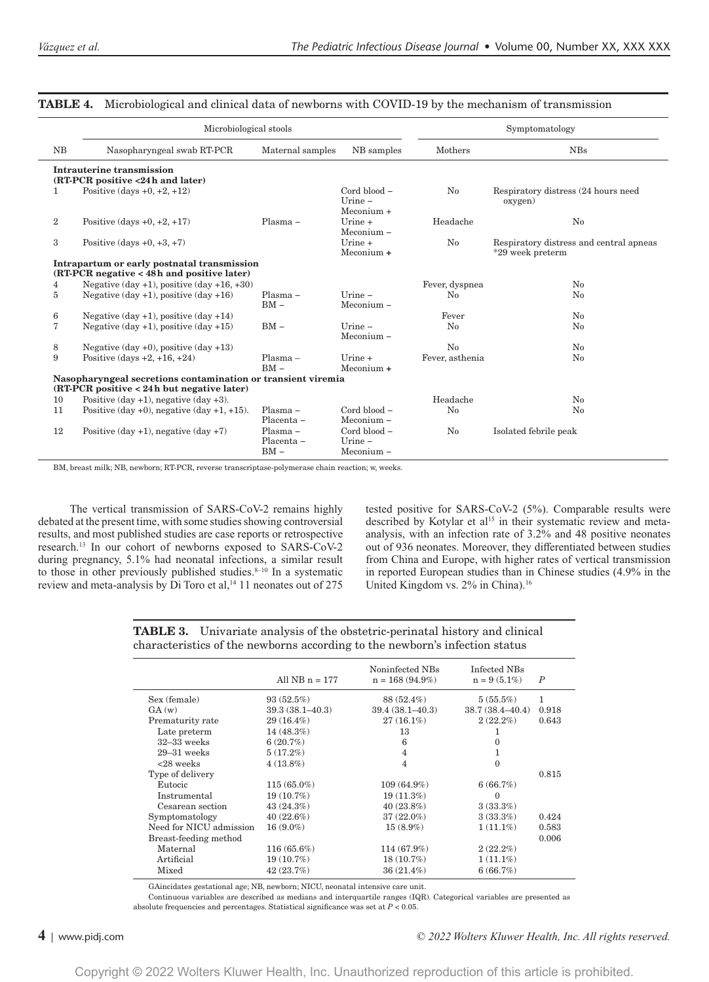|                                                                                           | Microbiological stools                                                                                       |                                    | Symptomatology                            |                 |                                                             |
|-------------------------------------------------------------------------------------------|--------------------------------------------------------------------------------------------------------------|------------------------------------|-------------------------------------------|-----------------|-------------------------------------------------------------|
| NB                                                                                        | Nasopharyngeal swab RT-PCR                                                                                   | Maternal samples                   | NB samples                                | Mothers         | <b>NBs</b>                                                  |
|                                                                                           | Intrauterine transmission<br>(RT-PCR positive <24h and later)                                                |                                    |                                           |                 |                                                             |
| 1                                                                                         | Positive (days $+0, +2, +12$ )                                                                               |                                    | Cord blood -<br>Urine $-$<br>$Meconium +$ | No              | Respiratory distress (24 hours need<br>oxygen)              |
| $\overline{2}$                                                                            | Positive (days $+0, +2, +17$ )                                                                               | Plasma -                           | $Urine +$<br>$Meconium -$                 | Headache        | No                                                          |
| 3                                                                                         | Positive $\frac{1}{3} + 0, +3, +7$                                                                           |                                    | $Urine +$<br>$Meconium +$                 | $\rm No$        | Respiratory distress and central apneas<br>*29 week preterm |
| Intrapartum or early postnatal transmission<br>(RT-PCR negative < 48h and positive later) |                                                                                                              |                                    |                                           |                 |                                                             |
| 4                                                                                         | Negative $(\text{day } +1)$ , positive $(\text{day } +16, +30)$                                              |                                    |                                           | Fever, dyspnea  | $\rm No$                                                    |
| 5                                                                                         | Negative $(\text{day } +1)$ , positive $(\text{day } +16)$                                                   | $Plasma -$<br>$BM -$               | $I$ Irine $-$<br>Meconium -               | No              | No                                                          |
| 6                                                                                         | Negative $(\text{day } +1)$ , positive $(\text{day } +14)$                                                   |                                    |                                           | Fever           | $\rm No$                                                    |
| 7                                                                                         | Negative $(\text{day } +1)$ , positive $(\text{day } +15)$                                                   | $BM -$                             | $U$ rine $-$<br>Meconium-                 | $\rm No$        | $\rm No$                                                    |
| 8                                                                                         | Negative $(\text{day } +0)$ , positive $(\text{day } +13)$                                                   |                                    |                                           | No              | $\rm No$                                                    |
| 9                                                                                         | Positive (days $+2$ , $+16$ , $+24$ )                                                                        | $Plasma -$<br>$BM -$               | $U$ rine +<br>$Meconium +$                | Fever, asthenia | $\rm No$                                                    |
|                                                                                           | Nasopharyngeal secretions contamination or transient viremia<br>$(RT-PCR positive < 24h$ but negative later) |                                    |                                           |                 |                                                             |
| 10                                                                                        | Positive $(\text{day } +1)$ , negative $(\text{day } +3)$ .                                                  |                                    |                                           | Headache        | $\rm No$                                                    |
| 11                                                                                        | Positive $(\text{day }+0)$ , negative $(\text{day }+1, +15)$ .                                               | $Plasma -$<br>Placenta -           | $Card blood -$<br>$Meconium -$            | $\rm No$        | $\rm No$                                                    |
| 12                                                                                        | Positive $(\text{day } +1)$ , negative $(\text{day } +7)$                                                    | $Plasma -$<br>Placenta -<br>$BM -$ | Cord blood -<br>$U$ rine $-$<br>Meconium- | $\rm No$        | Isolated febrile peak                                       |

#### **TABLE 4.** Microbiological and clinical data of newborns with COVID-19 by the mechanism of transmission

BM, breast milk; NB, newborn; RT-PCR, reverse transcriptase-polymerase chain reaction; w, weeks.

The vertical transmission of SARS-CoV-2 remains highly debated at the present time, with some studies showing controversial results, and most published studies are case reports or retrospective research.13 In our cohort of newborns exposed to SARS-CoV-2 during pregnancy, 5.1% had neonatal infections, a similar result to those in other previously published studies. $8-10$  In a systematic review and meta-analysis by  $\overline{D}$ i Toro et al,<sup>14</sup> 11 neonates out of 275

tested positive for SARS-CoV-2 (5%). Comparable results were described by Kotylar et al<sup>15</sup> in their systematic review and metaanalysis, with an infection rate of 3.2% and 48 positive neonates out of 936 neonates. Moreover, they differentiated between studies from China and Europe, with higher rates of vertical transmission in reported European studies than in Chinese studies (4.9% in the United Kingdom vs. 2% in China).16

**TABLE 3.** Univariate analysis of the obstetric-perinatal history and clinical characteristics of the newborns according to the newborn's infection status

|                         | All $NB n = 177$    | Noninfected NBs<br>$n = 168(94.9\%)$ | Infected NBs<br>$n = 9(5.1\%)$ | $\boldsymbol{P}$ |
|-------------------------|---------------------|--------------------------------------|--------------------------------|------------------|
| Sex (female)            | 93(52.5%)           | 88 (52.4%)                           | 5(55.5%)                       | 1                |
| GA(w)                   | $39.3(38.1 - 40.3)$ | $39.4(38.1 - 40.3)$                  | $38.7(38.4 - 40.4)$            | 0.918            |
| Prematurity rate        | $29(16.4\%)$        | $27(16.1\%)$                         | $2(22.2\%)$                    | 0.643            |
| Late preterm            | $14(48.3\%)$        | 13                                   |                                |                  |
| $32-33$ weeks           | $6(20.7\%)$         | 6                                    | 0                              |                  |
| $29 - 31$ weeks         | 5(17.2%)            | $\overline{4}$                       | 1                              |                  |
| $<$ 28 weeks            | $4(13.8\%)$         | 4                                    | $\Omega$                       |                  |
| Type of delivery        |                     |                                      |                                | 0.815            |
| Eutocic                 | $115(65.0\%)$       | $109(64.9\%)$                        | 6(66.7%)                       |                  |
| Instrumental            | $19(10.7\%)$        | $19(11.3\%)$                         | $\Omega$                       |                  |
| Cesarean section        | 43(24.3%)           | $40(23.8\%)$                         | 3(33.3%)                       |                  |
| Symptomatology          | $40(22.6\%)$        | $37(22.0\%)$                         | 3(33.3%)                       | 0.424            |
| Need for NICU admission | $16(9.0\%)$         | $15(8.9\%)$                          | $1(11.1\%)$                    | 0.583            |
| Breast-feeding method   |                     |                                      |                                | 0.006            |
| Maternal                | $116(65.6\%)$       | $114(67.9\%)$                        | $2(22.2\%)$                    |                  |
| Artificial              | $19(10.7\%)$        | $18(10.7\%)$                         | $1(11.1\%)$                    |                  |
| Mixed                   | 42(23.7%)           | $36(21.4\%)$                         | 6(66.7%)                       |                  |

GAincidates gestational age; NB, newborn; NICU, neonatal intensive care unit.

Continuous variables are described as medians and interquartile ranges (IQR). Categorical variables are presented as absolute frequencies and percentages. Statistical significance was set at *P* < 0.05.

#### **4** <sup>|</sup> www.pidj.com *© 2022 Wolters Kluwer Health, Inc. All rights reserved.*

Copyright © 2022 Wolters Kluwer Health, Inc. Unauthorized reproduction of this article is prohibited.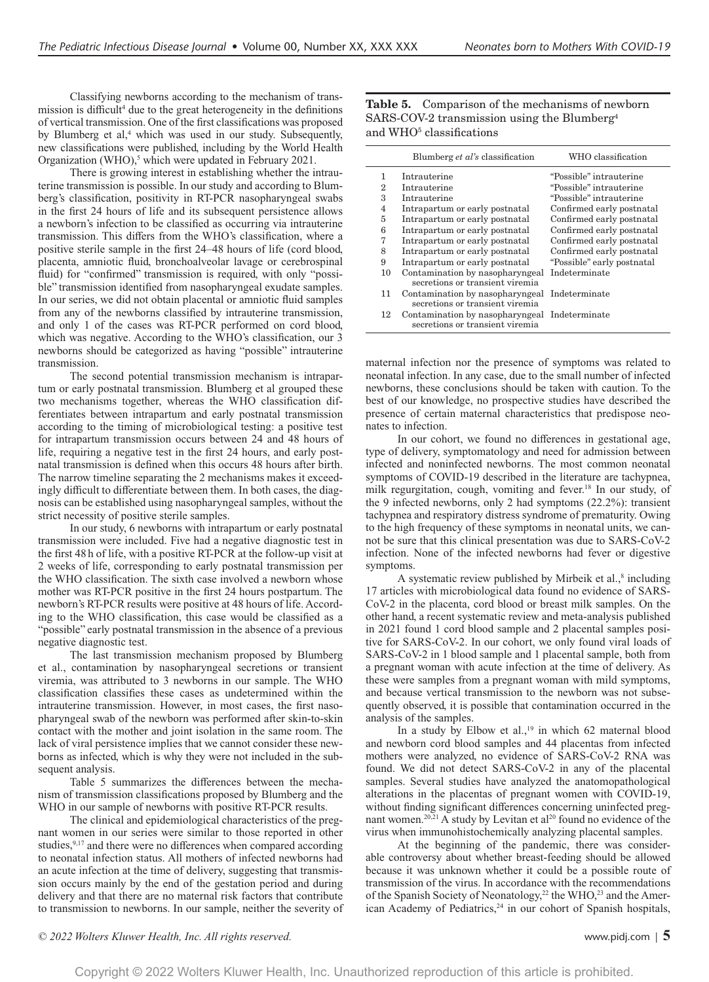Classifying newborns according to the mechanism of transmission is difficult<sup>4</sup> due to the great heterogeneity in the definitions of vertical transmission. One of the first classifications was proposed by Blumberg et al,<sup>4</sup> which was used in our study. Subsequently, new classifications were published, including by the World Health Organization (WHO),<sup>5</sup> which were updated in February 2021.

There is growing interest in establishing whether the intrauterine transmission is possible. In our study and according to Blumberg's classification, positivity in RT-PCR nasopharyngeal swabs in the first 24 hours of life and its subsequent persistence allows a newborn's infection to be classified as occurring via intrauterine transmission. This differs from the WHO's classification, where a positive sterile sample in the first 24–48 hours of life (cord blood, placenta, amniotic fluid, bronchoalveolar lavage or cerebrospinal fluid) for "confirmed" transmission is required, with only "possible" transmission identified from nasopharyngeal exudate samples. In our series, we did not obtain placental or amniotic fluid samples from any of the newborns classified by intrauterine transmission, and only 1 of the cases was RT-PCR performed on cord blood, which was negative. According to the WHO's classification, our 3 newborns should be categorized as having "possible" intrauterine transmission.

The second potential transmission mechanism is intrapartum or early postnatal transmission. Blumberg et al grouped these two mechanisms together, whereas the WHO classification differentiates between intrapartum and early postnatal transmission according to the timing of microbiological testing: a positive test for intrapartum transmission occurs between 24 and 48 hours of life, requiring a negative test in the first 24 hours, and early postnatal transmission is defined when this occurs 48 hours after birth. The narrow timeline separating the 2 mechanisms makes it exceedingly difficult to differentiate between them. In both cases, the diagnosis can be established using nasopharyngeal samples, without the strict necessity of positive sterile samples.

In our study, 6 newborns with intrapartum or early postnatal transmission were included. Five had a negative diagnostic test in the first 48 h of life, with a positive RT-PCR at the follow-up visit at 2 weeks of life, corresponding to early postnatal transmission per the WHO classification. The sixth case involved a newborn whose mother was RT-PCR positive in the first 24 hours postpartum. The newborn's RT-PCR results were positive at 48 hours of life. According to the WHO classification, this case would be classified as a "possible" early postnatal transmission in the absence of a previous negative diagnostic test.

The last transmission mechanism proposed by Blumberg et al., contamination by nasopharyngeal secretions or transient viremia, was attributed to 3 newborns in our sample. The WHO classification classifies these cases as undetermined within the intrauterine transmission. However, in most cases, the first nasopharyngeal swab of the newborn was performed after skin-to-skin contact with the mother and joint isolation in the same room. The lack of viral persistence implies that we cannot consider these newborns as infected, which is why they were not included in the subsequent analysis.

Table 5 summarizes the differences between the mechanism of transmission classifications proposed by Blumberg and the WHO in our sample of newborns with positive RT-PCR results.

The clinical and epidemiological characteristics of the pregnant women in our series were similar to those reported in other studies,<sup>9,17</sup> and there were no differences when compared according to neonatal infection status. All mothers of infected newborns had an acute infection at the time of delivery, suggesting that transmission occurs mainly by the end of the gestation period and during delivery and that there are no maternal risk factors that contribute to transmission to newborns. In our sample, neither the severity of **Table 5.** Comparison of the mechanisms of newborn SARS-COV-2 transmission using the Blumberg4 and WHO<sup>5</sup> classifications

|                | Blumberg et al's classification                                                  | WHO classification         |
|----------------|----------------------------------------------------------------------------------|----------------------------|
| 1              | Intrauterine                                                                     | "Possible" intrauterine    |
| 2              | Intrauterine                                                                     | "Possible" intrauterine    |
| 3              | Intrauterine                                                                     | "Possible" intrauterine    |
| $\overline{4}$ | Intrapartum or early postnatal                                                   | Confirmed early postnatal  |
| 5              | Intrapartum or early postnatal                                                   | Confirmed early postnatal  |
| 6              | Intrapartum or early postnatal                                                   | Confirmed early postnatal  |
| 7              | Intrapartum or early postnatal                                                   | Confirmed early postnatal  |
| 8              | Intrapartum or early postnatal                                                   | Confirmed early postnatal  |
| 9              | Intrapartum or early postnatal                                                   | "Possible" early postnatal |
| 10             | Contamination by nasopharyngeal<br>secretions or transient viremia               | Indeterminate              |
| 11             | Contamination by nasopharyngeal Indeterminate<br>secretions or transient viremia |                            |
| 12             | Contamination by nasopharyngeal Indeterminate<br>secretions or transient viremia |                            |

maternal infection nor the presence of symptoms was related to neonatal infection. In any case, due to the small number of infected newborns, these conclusions should be taken with caution. To the best of our knowledge, no prospective studies have described the presence of certain maternal characteristics that predispose neonates to infection.

In our cohort, we found no differences in gestational age, type of delivery, symptomatology and need for admission between infected and noninfected newborns. The most common neonatal symptoms of COVID-19 described in the literature are tachypnea, milk regurgitation, cough, vomiting and fever.18 In our study, of the 9 infected newborns, only 2 had symptoms (22.2%): transient tachypnea and respiratory distress syndrome of prematurity. Owing to the high frequency of these symptoms in neonatal units, we cannot be sure that this clinical presentation was due to SARS-CoV-2 infection. None of the infected newborns had fever or digestive symptoms.

A systematic review published by Mirbeik et al.,<sup>8</sup> including 17 articles with microbiological data found no evidence of SARS-CoV-2 in the placenta, cord blood or breast milk samples. On the other hand, a recent systematic review and meta-analysis published in 2021 found 1 cord blood sample and 2 placental samples positive for SARS-CoV-2. In our cohort, we only found viral loads of SARS-CoV-2 in 1 blood sample and 1 placental sample, both from a pregnant woman with acute infection at the time of delivery. As these were samples from a pregnant woman with mild symptoms, and because vertical transmission to the newborn was not subsequently observed, it is possible that contamination occurred in the analysis of the samples.

In a study by Elbow et al.,<sup>19</sup> in which 62 maternal blood and newborn cord blood samples and 44 placentas from infected mothers were analyzed, no evidence of SARS-CoV-2 RNA was found. We did not detect SARS-CoV-2 in any of the placental samples. Several studies have analyzed the anatomopathological alterations in the placentas of pregnant women with COVID-19, without finding significant differences concerning uninfected pregnant women.<sup>20,21</sup> A study by Levitan et al<sup>20</sup> found no evidence of the virus when immunohistochemically analyzing placental samples.

At the beginning of the pandemic, there was considerable controversy about whether breast-feeding should be allowed because it was unknown whether it could be a possible route of transmission of the virus. In accordance with the recommendations of the Spanish Society of Neonatology,<sup>22</sup> the WHO,<sup>23</sup> and the American Academy of Pediatrics,<sup>24</sup> in our cohort of Spanish hospitals,

*© 2022 Wolters Kluwer Health, Inc. All rights reserved.* www.pidj.com <sup>|</sup> **5**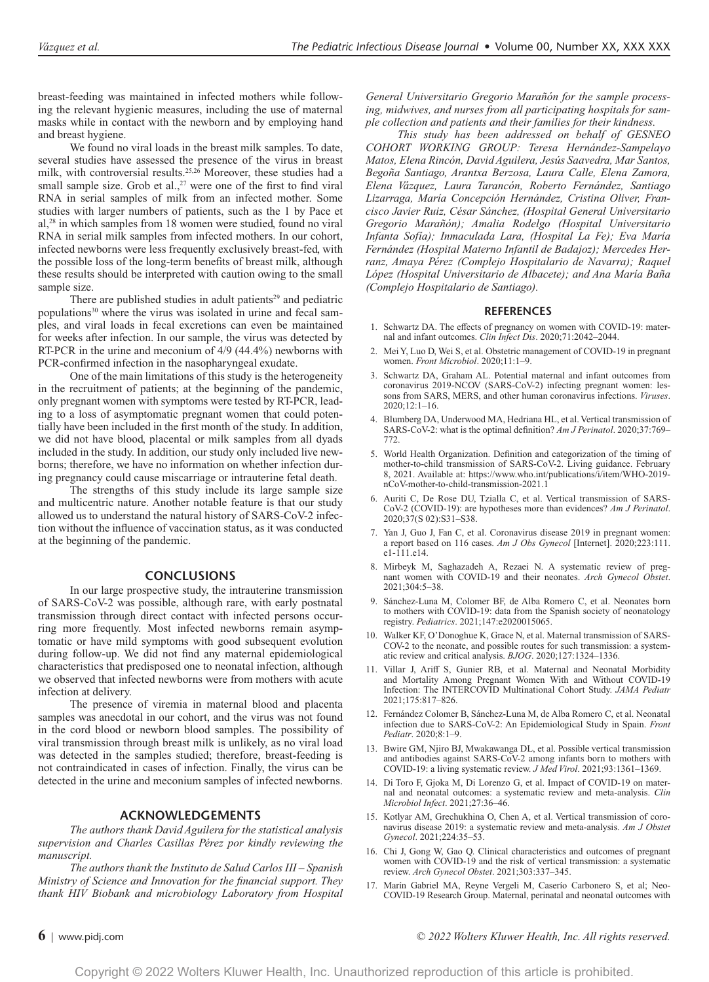breast-feeding was maintained in infected mothers while following the relevant hygienic measures, including the use of maternal masks while in contact with the newborn and by employing hand and breast hygiene.

We found no viral loads in the breast milk samples. To date, several studies have assessed the presence of the virus in breast milk, with controversial results.<sup>25,26</sup> Moreover, these studies had a small sample size. Grob et al., $27$  were one of the first to find viral RNA in serial samples of milk from an infected mother. Some studies with larger numbers of patients, such as the 1 by Pace et al,28 in which samples from 18 women were studied, found no viral RNA in serial milk samples from infected mothers. In our cohort, infected newborns were less frequently exclusively breast-fed, with the possible loss of the long-term benefits of breast milk, although these results should be interpreted with caution owing to the small sample size.

There are published studies in adult patients<sup>29</sup> and pediatric populations<sup>30</sup> where the virus was isolated in urine and fecal samples, and viral loads in fecal excretions can even be maintained for weeks after infection. In our sample, the virus was detected by RT-PCR in the urine and meconium of 4/9 (44.4%) newborns with PCR-confirmed infection in the nasopharyngeal exudate.

One of the main limitations of this study is the heterogeneity in the recruitment of patients; at the beginning of the pandemic, only pregnant women with symptoms were tested by RT-PCR, leading to a loss of asymptomatic pregnant women that could potentially have been included in the first month of the study. In addition, we did not have blood, placental or milk samples from all dyads included in the study. In addition, our study only included live newborns; therefore, we have no information on whether infection during pregnancy could cause miscarriage or intrauterine fetal death.

The strengths of this study include its large sample size and multicentric nature. Another notable feature is that our study allowed us to understand the natural history of SARS-CoV-2 infection without the influence of vaccination status, as it was conducted at the beginning of the pandemic.

#### **CONCLUSIONS**

In our large prospective study, the intrauterine transmission of SARS-CoV-2 was possible, although rare, with early postnatal transmission through direct contact with infected persons occurring more frequently. Most infected newborns remain asymptomatic or have mild symptoms with good subsequent evolution during follow-up. We did not find any maternal epidemiological characteristics that predisposed one to neonatal infection, although we observed that infected newborns were from mothers with acute infection at delivery.

The presence of viremia in maternal blood and placenta samples was anecdotal in our cohort, and the virus was not found in the cord blood or newborn blood samples. The possibility of viral transmission through breast milk is unlikely, as no viral load was detected in the samples studied; therefore, breast-feeding is not contraindicated in cases of infection. Finally, the virus can be detected in the urine and meconium samples of infected newborns.

#### **ACKNOWLEDGEMENTS**

*The authors thank David Aguilera for the statistical analysis supervision and Charles Casillas Pérez por kindly reviewing the manuscript.*

*The authors thank the Instituto de Salud Carlos III – Spanish Ministry of Science and Innovation for the financial support. They thank HIV Biobank and microbiology Laboratory from Hospital* 

*General Universitario Gregorio Marañón for the sample processing, midwives, and nurses from all participating hospitals for sample collection and patients and their families for their kindness.*

*This study has been addressed on behalf of GESNEO COHORT WORKING GROUP: Teresa Hernández-Sampelayo Matos, Elena Rincón, David Aguilera, Jesús Saavedra, Mar Santos, Begoña Santiago, Arantxa Berzosa, Laura Calle, Elena Zamora, Elena Vázquez, Laura Tarancón, Roberto Fernández, Santiago Lizarraga, María Concepción Hernández, Cristina Oliver, Francisco Javier Ruiz, César Sánchez, (Hospital General Universitario Gregorio Marañón); Amalia Rodelgo (Hospital Universitario Infanta Sofía); Inmaculada Lara, (Hospital La Fe); Eva María Fernández (Hospital Materno Infantil de Badajoz); Mercedes Herranz, Amaya Pérez (Complejo Hospitalario de Navarra); Raquel López (Hospital Universitario de Albacete); and Ana María Baña (Complejo Hospitalario de Santiago).*

#### **REFERENCES**

- 1. Schwartz DA. The effects of pregnancy on women with COVID-19: maternal and infant outcomes. *Clin Infect Dis*. 2020;71:2042–2044.
- 2. Mei Y, Luo D, Wei S, et al. Obstetric management of COVID-19 in pregnant women. *Front Microbiol*. 2020;11:1–9.
- 3. Schwartz DA, Graham AL. Potential maternal and infant outcomes from coronavirus 2019-NCOV (SARS-CoV-2) infecting pregnant women: lessons from SARS, MERS, and other human coronavirus infections. *Viruses*. 2020;12:1–16.
- 4. Blumberg DA, Underwood MA, Hedriana HL, et al. Vertical transmission of SARS-CoV-2: what is the optimal definition? *Am J Perinatol*. 2020;37:769– 772.
- 5. World Health Organization. Definition and categorization of the timing of mother-to-child transmission of SARS-CoV-2. Living guidance. February 8, 2021. Available at: [https://www.who.int/publications/i/item/WHO-2019](https://www.who.int/publications/i/item/WHO-2019-nCoV-mother-to-child-transmission-2021.1) [nCoV-mother-to-child-transmission-2021.1](https://www.who.int/publications/i/item/WHO-2019-nCoV-mother-to-child-transmission-2021.1)
- 6. Auriti C, De Rose DU, Tzialla C, et al. Vertical transmission of SARS-CoV-2 (COVID-19): are hypotheses more than evidences? *Am J Perinatol*. 2020;37(S 02):S31–S38.
- 7. Yan J, Guo J, Fan C, et al. Coronavirus disease 2019 in pregnant women: a report based on 116 cases. *Am J Obs Gynecol* [Internet]. 2020;223:111. e1‐111.e14.
- 8. Mirbeyk M, Saghazadeh A, Rezaei N. A systematic review of pregnant women with COVID-19 and their neonates. *Arch Gynecol Obstet*. 2021;304:5–38.
- 9. Sánchez-Luna M, Colomer BF, de Alba Romero C, et al. Neonates born to mothers with COVID-19: data from the Spanish society of neonatology registry. *Pediatrics*. 2021;147:e2020015065.
- 10. Walker KF, O'Donoghue K, Grace N, et al. Maternal transmission of SARS-COV-2 to the neonate, and possible routes for such transmission: a systematic review and critical analysis. *BJOG*. 2020;127:1324–1336.
- 11. Villar J, Ariff S, Gunier RB, et al. Maternal and Neonatal Morbidity and Mortality Among Pregnant Women With and Without COVID-19 Infection: The INTERCOVID Multinational Cohort Study. *JAMA Pediatr*  2021;175:817–826.
- 12. Fernández Colomer B, Sánchez-Luna M, de Alba Romero C, et al. Neonatal infection due to SARS-CoV-2: An Epidemiological Study in Spain. *Front Pediatr*. 2020;8:1–9.
- 13. Bwire GM, Njiro BJ, Mwakawanga DL, et al. Possible vertical transmission and antibodies against SARS-CoV-2 among infants born to mothers with COVID-19: a living systematic review. *J Med Virol*. 2021;93:1361–1369.
- 14. Di Toro F, Gjoka M, Di Lorenzo G, et al. Impact of COVID-19 on maternal and neonatal outcomes: a systematic review and meta-analysis. *Clin Microbiol Infect*. 2021;27:36–46.
- 15. Kotlyar AM, Grechukhina O, Chen A, et al. Vertical transmission of coronavirus disease 2019: a systematic review and meta-analysis. *Am J Obstet Gynecol*. 2021;224:35–53.
- 16. Chi J, Gong W, Gao Q. Clinical characteristics and outcomes of pregnant women with COVID-19 and the risk of vertical transmission: a systematic review. *Arch Gynecol Obstet*. 2021;303:337–345.
- 17. Marín Gabriel MA, Reyne Vergeli M, Caserío Carbonero S, et al; Neo-COVID-19 Research Group. Maternal, perinatal and neonatal outcomes with

**6** <sup>|</sup> www.pidj.com *© 2022 Wolters Kluwer Health, Inc. All rights reserved.*